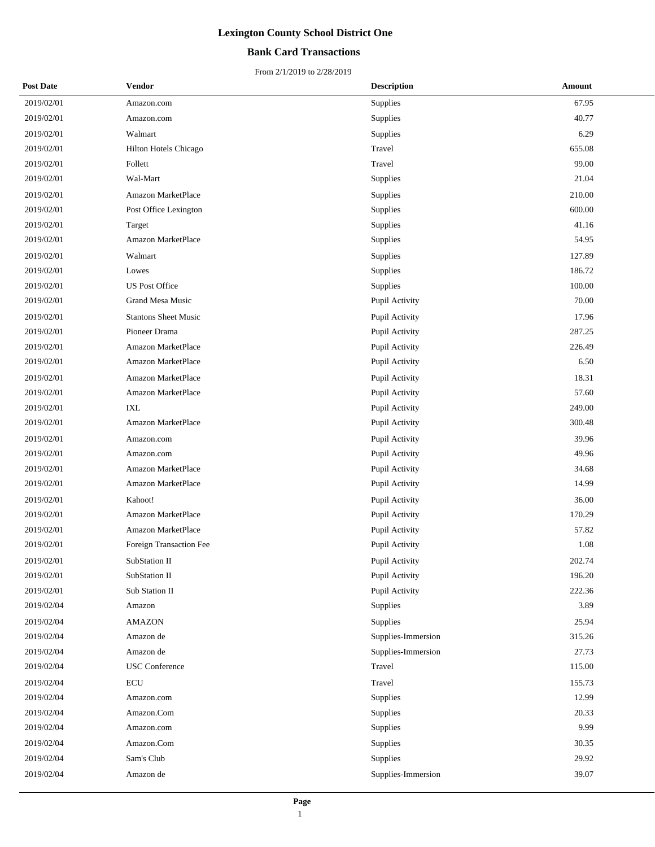## **Bank Card Transactions**

| <b>Post Date</b> | <b>Vendor</b>               | <b>Description</b> | Amount |
|------------------|-----------------------------|--------------------|--------|
| 2019/02/01       | Amazon.com                  | Supplies           | 67.95  |
| 2019/02/01       | Amazon.com                  | Supplies           | 40.77  |
| 2019/02/01       | Walmart                     | Supplies           | 6.29   |
| 2019/02/01       | Hilton Hotels Chicago       | Travel             | 655.08 |
| 2019/02/01       | Follett                     | Travel             | 99.00  |
| 2019/02/01       | Wal-Mart                    | Supplies           | 21.04  |
| 2019/02/01       | Amazon MarketPlace          | Supplies           | 210.00 |
| 2019/02/01       | Post Office Lexington       | Supplies           | 600.00 |
| 2019/02/01       | Target                      | Supplies           | 41.16  |
| 2019/02/01       | Amazon MarketPlace          | Supplies           | 54.95  |
| 2019/02/01       | Walmart                     | Supplies           | 127.89 |
| 2019/02/01       | Lowes                       | Supplies           | 186.72 |
| 2019/02/01       | <b>US Post Office</b>       | Supplies           | 100.00 |
| 2019/02/01       | <b>Grand Mesa Music</b>     | Pupil Activity     | 70.00  |
| 2019/02/01       | <b>Stantons Sheet Music</b> | Pupil Activity     | 17.96  |
| 2019/02/01       | Pioneer Drama               | Pupil Activity     | 287.25 |
| 2019/02/01       | Amazon MarketPlace          | Pupil Activity     | 226.49 |
| 2019/02/01       | <b>Amazon MarketPlace</b>   | Pupil Activity     | 6.50   |
| 2019/02/01       | Amazon MarketPlace          | Pupil Activity     | 18.31  |
| 2019/02/01       | Amazon MarketPlace          | Pupil Activity     | 57.60  |
| 2019/02/01       | <b>IXL</b>                  | Pupil Activity     | 249.00 |
| 2019/02/01       | Amazon MarketPlace          | Pupil Activity     | 300.48 |
| 2019/02/01       | Amazon.com                  | Pupil Activity     | 39.96  |
| 2019/02/01       | Amazon.com                  | Pupil Activity     | 49.96  |
| 2019/02/01       | <b>Amazon MarketPlace</b>   | Pupil Activity     | 34.68  |
| 2019/02/01       | Amazon MarketPlace          | Pupil Activity     | 14.99  |
| 2019/02/01       | Kahoot!                     | Pupil Activity     | 36.00  |
| 2019/02/01       | Amazon MarketPlace          | Pupil Activity     | 170.29 |
| 2019/02/01       | Amazon MarketPlace          | Pupil Activity     | 57.82  |
| 2019/02/01       | Foreign Transaction Fee     | Pupil Activity     | 1.08   |
| 2019/02/01       | SubStation II               | Pupil Activity     | 202.74 |
| 2019/02/01       | SubStation II               | Pupil Activity     | 196.20 |
| 2019/02/01       | Sub Station II              | Pupil Activity     | 222.36 |
| 2019/02/04       | Amazon                      | Supplies           | 3.89   |
| 2019/02/04       | <b>AMAZON</b>               | Supplies           | 25.94  |
| 2019/02/04       | Amazon de                   | Supplies-Immersion | 315.26 |
| 2019/02/04       | Amazon de                   | Supplies-Immersion | 27.73  |
| 2019/02/04       | <b>USC</b> Conference       | Travel             | 115.00 |
| 2019/02/04       | <b>ECU</b>                  | Travel             | 155.73 |
| 2019/02/04       | Amazon.com                  | Supplies           | 12.99  |
| 2019/02/04       | Amazon.Com                  | Supplies           | 20.33  |
| 2019/02/04       | Amazon.com                  | Supplies           | 9.99   |
| 2019/02/04       | Amazon.Com                  | Supplies           | 30.35  |
| 2019/02/04       | Sam's Club                  | Supplies           | 29.92  |
| 2019/02/04       | Amazon de                   | Supplies-Immersion | 39.07  |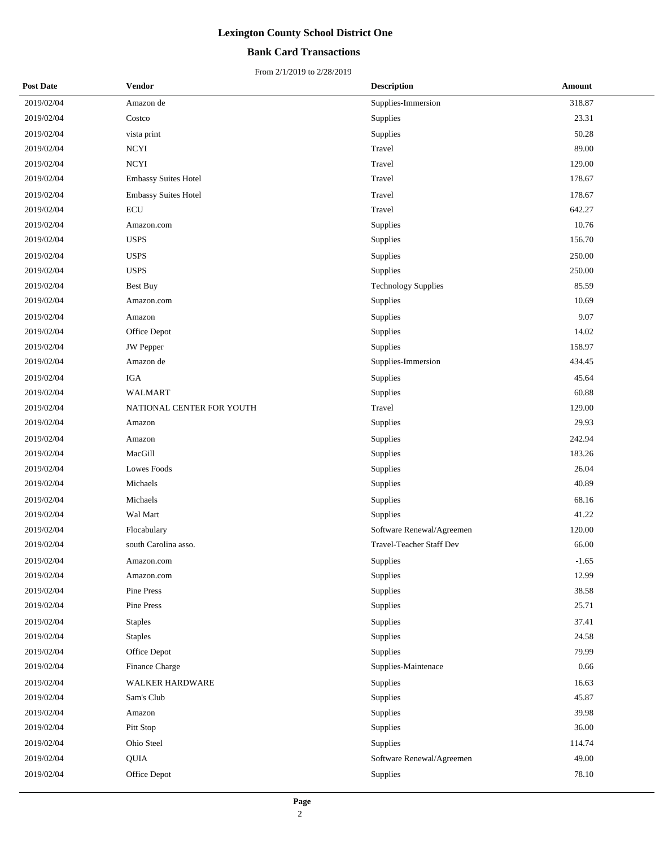## **Bank Card Transactions**

| <b>Post Date</b> | <b>Vendor</b>               | <b>Description</b>         | Amount  |
|------------------|-----------------------------|----------------------------|---------|
| 2019/02/04       | Amazon de                   | Supplies-Immersion         | 318.87  |
| 2019/02/04       | Costco                      | Supplies                   | 23.31   |
| 2019/02/04       | vista print                 | Supplies                   | 50.28   |
| 2019/02/04       | <b>NCYI</b>                 | Travel                     | 89.00   |
| 2019/02/04       | $\operatorname{NCYI}$       | Travel                     | 129.00  |
| 2019/02/04       | <b>Embassy Suites Hotel</b> | Travel                     | 178.67  |
| 2019/02/04       | Embassy Suites Hotel        | Travel                     | 178.67  |
| 2019/02/04       | <b>ECU</b>                  | Travel                     | 642.27  |
| 2019/02/04       | Amazon.com                  | Supplies                   | 10.76   |
| 2019/02/04       | <b>USPS</b>                 | Supplies                   | 156.70  |
| 2019/02/04       | <b>USPS</b>                 | Supplies                   | 250.00  |
| 2019/02/04       | <b>USPS</b>                 | Supplies                   | 250.00  |
| 2019/02/04       | <b>Best Buy</b>             | <b>Technology Supplies</b> | 85.59   |
| 2019/02/04       | Amazon.com                  | Supplies                   | 10.69   |
| 2019/02/04       | Amazon                      | Supplies                   | 9.07    |
| 2019/02/04       | Office Depot                | Supplies                   | 14.02   |
| 2019/02/04       | <b>JW</b> Pepper            | Supplies                   | 158.97  |
| 2019/02/04       | Amazon de                   | Supplies-Immersion         | 434.45  |
| 2019/02/04       | <b>IGA</b>                  | Supplies                   | 45.64   |
| 2019/02/04       | <b>WALMART</b>              | Supplies                   | 60.88   |
| 2019/02/04       | NATIONAL CENTER FOR YOUTH   | Travel                     | 129.00  |
| 2019/02/04       | Amazon                      | Supplies                   | 29.93   |
| 2019/02/04       | Amazon                      | Supplies                   | 242.94  |
| 2019/02/04       | MacGill                     | Supplies                   | 183.26  |
| 2019/02/04       | Lowes Foods                 | Supplies                   | 26.04   |
| 2019/02/04       | Michaels                    | Supplies                   | 40.89   |
| 2019/02/04       | Michaels                    | Supplies                   | 68.16   |
| 2019/02/04       | Wal Mart                    | Supplies                   | 41.22   |
| 2019/02/04       | Flocabulary                 | Software Renewal/Agreemen  | 120.00  |
| 2019/02/04       | south Carolina asso.        | Travel-Teacher Staff Dev   | 66.00   |
| 2019/02/04       | Amazon.com                  | Supplies                   | $-1.65$ |
| 2019/02/04       | Amazon.com                  | Supplies                   | 12.99   |
| 2019/02/04       | Pine Press                  | Supplies                   | 38.58   |
| 2019/02/04       | Pine Press                  | Supplies                   | 25.71   |
| 2019/02/04       | <b>Staples</b>              | Supplies                   | 37.41   |
| 2019/02/04       | <b>Staples</b>              | Supplies                   | 24.58   |
| 2019/02/04       | Office Depot                | Supplies                   | 79.99   |
| 2019/02/04       | Finance Charge              | Supplies-Maintenace        | 0.66    |
| 2019/02/04       | WALKER HARDWARE             | Supplies                   | 16.63   |
| 2019/02/04       | Sam's Club                  | Supplies                   | 45.87   |
| 2019/02/04       | Amazon                      | Supplies                   | 39.98   |
| 2019/02/04       | Pitt Stop                   | Supplies                   | 36.00   |
| 2019/02/04       | Ohio Steel                  | Supplies                   | 114.74  |
| 2019/02/04       | QUIA                        | Software Renewal/Agreemen  | 49.00   |
| 2019/02/04       | Office Depot                | Supplies                   | 78.10   |
|                  |                             |                            |         |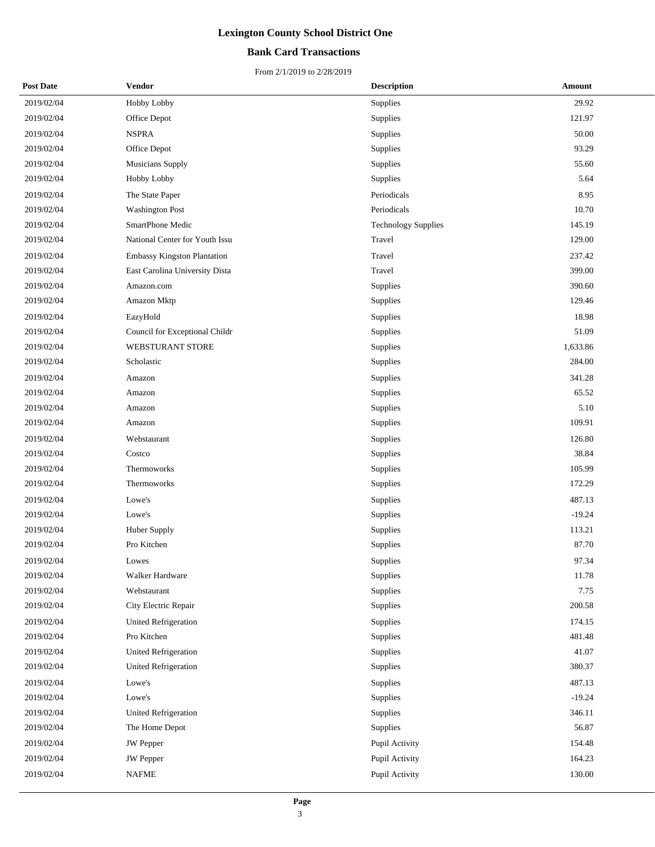## **Bank Card Transactions**

| <b>Post Date</b> | <b>Vendor</b>                  | <b>Description</b>         | <b>Amount</b> |
|------------------|--------------------------------|----------------------------|---------------|
| 2019/02/04       | Hobby Lobby                    | Supplies                   | 29.92         |
| 2019/02/04       | Office Depot                   | Supplies                   | 121.97        |
| 2019/02/04       | <b>NSPRA</b>                   | Supplies                   | 50.00         |
| 2019/02/04       | Office Depot                   | Supplies                   | 93.29         |
| 2019/02/04       | Musicians Supply               | Supplies                   | 55.60         |
| 2019/02/04       | Hobby Lobby                    | Supplies                   | 5.64          |
| 2019/02/04       | The State Paper                | Periodicals                | 8.95          |
| 2019/02/04       | <b>Washington Post</b>         | Periodicals                | 10.70         |
| 2019/02/04       | SmartPhone Medic               | <b>Technology Supplies</b> | 145.19        |
| 2019/02/04       | National Center for Youth Issu | Travel                     | 129.00        |
| 2019/02/04       | Embassy Kingston Plantation    | Travel                     | 237.42        |
| 2019/02/04       | East Carolina University Dista | Travel                     | 399.00        |
| 2019/02/04       | Amazon.com                     | Supplies                   | 390.60        |
| 2019/02/04       | Amazon Mktp                    | Supplies                   | 129.46        |
| 2019/02/04       | EazyHold                       | Supplies                   | 18.98         |
| 2019/02/04       | Council for Exceptional Childr | Supplies                   | 51.09         |
| 2019/02/04       | <b>WEBSTURANT STORE</b>        | Supplies                   | 1,633.86      |
| 2019/02/04       | Scholastic                     | Supplies                   | 284.00        |
| 2019/02/04       | Amazon                         | Supplies                   | 341.28        |
| 2019/02/04       | Amazon                         | Supplies                   | 65.52         |
| 2019/02/04       | Amazon                         | Supplies                   | 5.10          |
| 2019/02/04       | Amazon                         | Supplies                   | 109.91        |
| 2019/02/04       | Webstaurant                    | Supplies                   | 126.80        |
| 2019/02/04       | Costco                         | Supplies                   | 38.84         |
| 2019/02/04       | Thermoworks                    | Supplies                   | 105.99        |
| 2019/02/04       | Thermoworks                    | Supplies                   | 172.29        |
| 2019/02/04       | Lowe's                         | Supplies                   | 487.13        |
| 2019/02/04       | Lowe's                         | Supplies                   | $-19.24$      |
| 2019/02/04       | Huber Supply                   | Supplies                   | 113.21        |
| 2019/02/04       | Pro Kitchen                    | Supplies                   | 87.70         |
| 2019/02/04       | Lowes                          | Supplies                   | 97.34         |
| 2019/02/04       | Walker Hardware                | Supplies                   | 11.78         |
| 2019/02/04       | Webstaurant                    | Supplies                   | 7.75          |
| 2019/02/04       | City Electric Repair           | Supplies                   | 200.58        |
| 2019/02/04       | <b>United Refrigeration</b>    | Supplies                   | 174.15        |
| 2019/02/04       | Pro Kitchen                    | Supplies                   | 481.48        |
| 2019/02/04       | <b>United Refrigeration</b>    | Supplies                   | 41.07         |
| 2019/02/04       | United Refrigeration           | Supplies                   | 380.37        |
| 2019/02/04       | Lowe's                         | Supplies                   | 487.13        |
| 2019/02/04       | Lowe's                         | Supplies                   | $-19.24$      |
| 2019/02/04       | <b>United Refrigeration</b>    | Supplies                   | 346.11        |
| 2019/02/04       | The Home Depot                 | Supplies                   | 56.87         |
| 2019/02/04       | <b>JW</b> Pepper               | Pupil Activity             | 154.48        |
| 2019/02/04       | <b>JW</b> Pepper               | Pupil Activity             | 164.23        |
| 2019/02/04       | <b>NAFME</b>                   | Pupil Activity             | 130.00        |
|                  |                                |                            |               |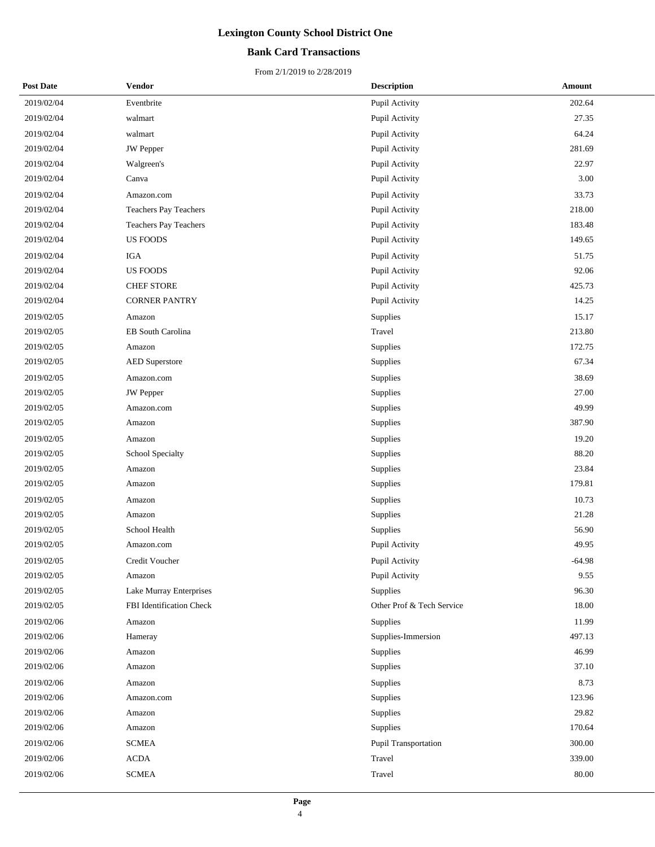## **Bank Card Transactions**

| <b>Post Date</b> | <b>Vendor</b>                | <b>Description</b>        | Amount   |  |
|------------------|------------------------------|---------------------------|----------|--|
| 2019/02/04       | Eventbrite                   | Pupil Activity            | 202.64   |  |
| 2019/02/04       | walmart                      | Pupil Activity            | 27.35    |  |
| 2019/02/04       | walmart                      | Pupil Activity            | 64.24    |  |
| 2019/02/04       | <b>JW</b> Pepper             | Pupil Activity            | 281.69   |  |
| 2019/02/04       | Walgreen's                   | Pupil Activity            | 22.97    |  |
| 2019/02/04       | Canva                        | Pupil Activity            | 3.00     |  |
| 2019/02/04       | Amazon.com                   | Pupil Activity            | 33.73    |  |
| 2019/02/04       | <b>Teachers Pay Teachers</b> | Pupil Activity            | 218.00   |  |
| 2019/02/04       | Teachers Pay Teachers        | Pupil Activity            | 183.48   |  |
| 2019/02/04       | <b>US FOODS</b>              | Pupil Activity            | 149.65   |  |
| 2019/02/04       | <b>IGA</b>                   | Pupil Activity            | 51.75    |  |
| 2019/02/04       | <b>US FOODS</b>              | Pupil Activity            | 92.06    |  |
| 2019/02/04       | <b>CHEF STORE</b>            | Pupil Activity            | 425.73   |  |
| 2019/02/04       | <b>CORNER PANTRY</b>         | Pupil Activity            | 14.25    |  |
| 2019/02/05       | Amazon                       | Supplies                  | 15.17    |  |
| 2019/02/05       | EB South Carolina            | Travel                    | 213.80   |  |
| 2019/02/05       | Amazon                       | Supplies                  | 172.75   |  |
| 2019/02/05       | <b>AED Superstore</b>        | Supplies                  | 67.34    |  |
| 2019/02/05       | Amazon.com                   | Supplies                  | 38.69    |  |
| 2019/02/05       | <b>JW</b> Pepper             | Supplies                  | 27.00    |  |
| 2019/02/05       | Amazon.com                   | Supplies                  | 49.99    |  |
| 2019/02/05       | Amazon                       | Supplies                  | 387.90   |  |
| 2019/02/05       | Amazon                       | Supplies                  | 19.20    |  |
| 2019/02/05       | School Specialty             | Supplies                  | 88.20    |  |
| 2019/02/05       | Amazon                       | Supplies                  | 23.84    |  |
| 2019/02/05       | Amazon                       | Supplies                  | 179.81   |  |
| 2019/02/05       | Amazon                       | Supplies                  | 10.73    |  |
| 2019/02/05       | Amazon                       | Supplies                  | 21.28    |  |
| 2019/02/05       | School Health                | Supplies                  | 56.90    |  |
| 2019/02/05       | Amazon.com                   | Pupil Activity            | 49.95    |  |
| 2019/02/05       | Credit Voucher               | Pupil Activity            | $-64.98$ |  |
| 2019/02/05       | Amazon                       | Pupil Activity            | 9.55     |  |
| 2019/02/05       | Lake Murray Enterprises      | Supplies                  | 96.30    |  |
| 2019/02/05       | FBI Identification Check     | Other Prof & Tech Service | 18.00    |  |
| 2019/02/06       | Amazon                       | Supplies                  | 11.99    |  |
| 2019/02/06       | Hameray                      | Supplies-Immersion        | 497.13   |  |
| 2019/02/06       | Amazon                       | Supplies                  | 46.99    |  |
| 2019/02/06       | Amazon                       | Supplies                  | 37.10    |  |
| 2019/02/06       | Amazon                       | Supplies                  | 8.73     |  |
| 2019/02/06       | Amazon.com                   | Supplies                  | 123.96   |  |
| 2019/02/06       | Amazon                       | Supplies                  | 29.82    |  |
| 2019/02/06       | Amazon                       | Supplies                  | 170.64   |  |
| 2019/02/06       | <b>SCMEA</b>                 | Pupil Transportation      | 300.00   |  |
| 2019/02/06       | <b>ACDA</b>                  | Travel                    | 339.00   |  |
| 2019/02/06       | <b>SCMEA</b>                 | Travel                    | 80.00    |  |
|                  |                              |                           |          |  |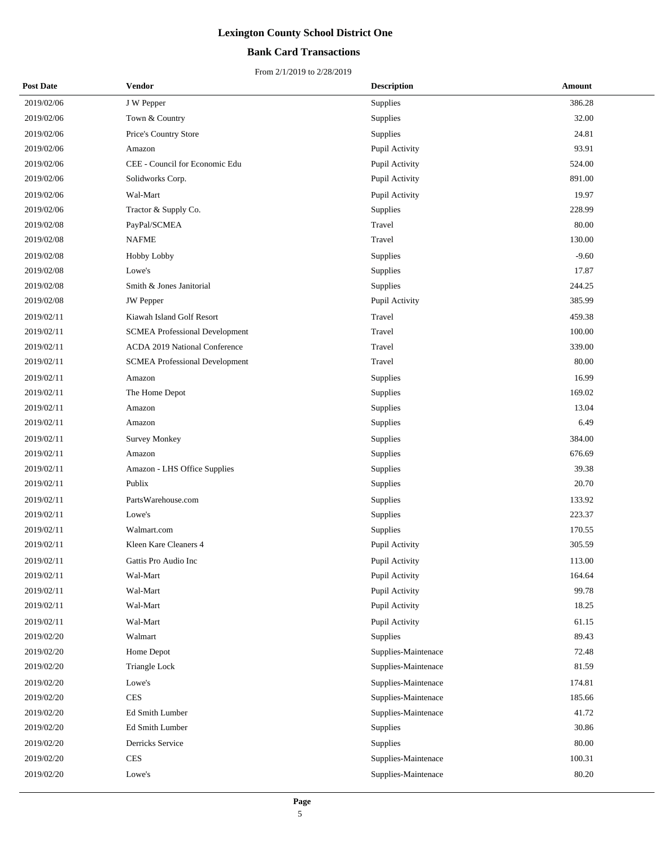## **Bank Card Transactions**

| <b>Post Date</b> | Vendor                                | <b>Description</b>  | Amount  |
|------------------|---------------------------------------|---------------------|---------|
| 2019/02/06       | J W Pepper                            | Supplies            | 386.28  |
| 2019/02/06       | Town & Country                        | Supplies            | 32.00   |
| 2019/02/06       | Price's Country Store                 | Supplies            | 24.81   |
| 2019/02/06       | Amazon                                | Pupil Activity      | 93.91   |
| 2019/02/06       | CEE - Council for Economic Edu        | Pupil Activity      | 524.00  |
| 2019/02/06       | Solidworks Corp.                      | Pupil Activity      | 891.00  |
| 2019/02/06       | Wal-Mart                              | Pupil Activity      | 19.97   |
| 2019/02/06       | Tractor & Supply Co.                  | Supplies            | 228.99  |
| 2019/02/08       | PayPal/SCMEA                          | Travel              | 80.00   |
| 2019/02/08       | <b>NAFME</b>                          | Travel              | 130.00  |
| 2019/02/08       | Hobby Lobby                           | Supplies            | $-9.60$ |
| 2019/02/08       | Lowe's                                | Supplies            | 17.87   |
| 2019/02/08       | Smith & Jones Janitorial              | Supplies            | 244.25  |
| 2019/02/08       | <b>JW</b> Pepper                      | Pupil Activity      | 385.99  |
| 2019/02/11       | Kiawah Island Golf Resort             | Travel              | 459.38  |
| 2019/02/11       | <b>SCMEA Professional Development</b> | Travel              | 100.00  |
| 2019/02/11       | <b>ACDA 2019 National Conference</b>  | Travel              | 339.00  |
| 2019/02/11       | <b>SCMEA Professional Development</b> | Travel              | 80.00   |
| 2019/02/11       | Amazon                                | Supplies            | 16.99   |
| 2019/02/11       | The Home Depot                        | Supplies            | 169.02  |
| 2019/02/11       | Amazon                                | Supplies            | 13.04   |
| 2019/02/11       | Amazon                                | Supplies            | 6.49    |
| 2019/02/11       | <b>Survey Monkey</b>                  | Supplies            | 384.00  |
| 2019/02/11       | Amazon                                | Supplies            | 676.69  |
| 2019/02/11       | Amazon - LHS Office Supplies          | Supplies            | 39.38   |
| 2019/02/11       | Publix                                | Supplies            | 20.70   |
| 2019/02/11       | PartsWarehouse.com                    | Supplies            | 133.92  |
| 2019/02/11       | Lowe's                                | Supplies            | 223.37  |
| 2019/02/11       | Walmart.com                           | Supplies            | 170.55  |
| 2019/02/11       | Kleen Kare Cleaners 4                 | Pupil Activity      | 305.59  |
| 2019/02/11       | Gattis Pro Audio Inc                  | Pupil Activity      | 113.00  |
| 2019/02/11       | Wal-Mart                              | Pupil Activity      | 164.64  |
| 2019/02/11       | Wal-Mart                              | Pupil Activity      | 99.78   |
| 2019/02/11       | Wal-Mart                              | Pupil Activity      | 18.25   |
| 2019/02/11       | Wal-Mart                              | Pupil Activity      | 61.15   |
| 2019/02/20       | Walmart                               | <b>Supplies</b>     | 89.43   |
| 2019/02/20       | Home Depot                            | Supplies-Maintenace | 72.48   |
| 2019/02/20       | Triangle Lock                         | Supplies-Maintenace | 81.59   |
| 2019/02/20       | Lowe's                                | Supplies-Maintenace | 174.81  |
| 2019/02/20       | <b>CES</b>                            | Supplies-Maintenace | 185.66  |
| 2019/02/20       | Ed Smith Lumber                       | Supplies-Maintenace | 41.72   |
| 2019/02/20       | Ed Smith Lumber                       | Supplies            | 30.86   |
| 2019/02/20       | Derricks Service                      | Supplies            | 80.00   |
| 2019/02/20       | <b>CES</b>                            | Supplies-Maintenace | 100.31  |
| 2019/02/20       | Lowe's                                | Supplies-Maintenace | 80.20   |
|                  |                                       |                     |         |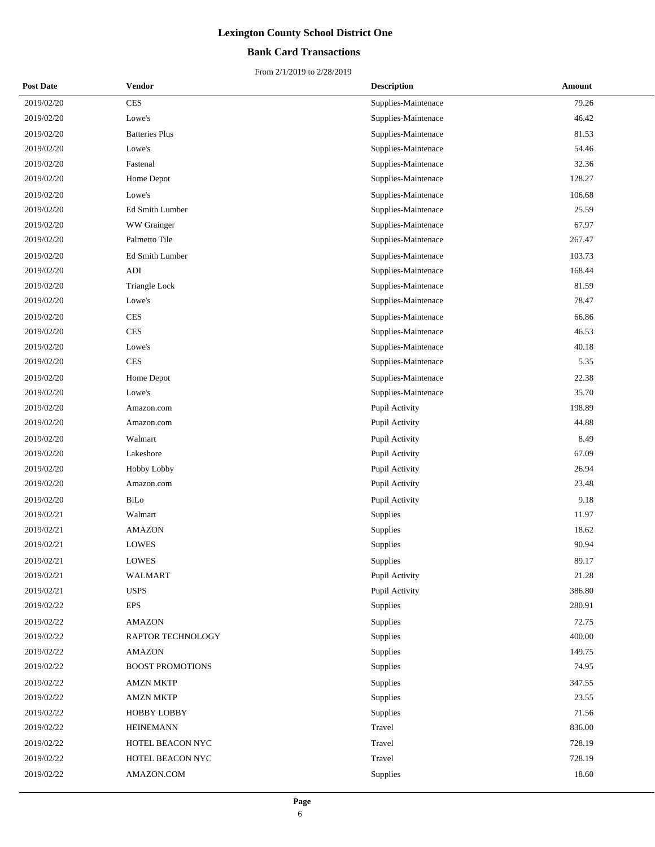## **Bank Card Transactions**

| <b>Post Date</b> | <b>Vendor</b>           | <b>Description</b>  | Amount |
|------------------|-------------------------|---------------------|--------|
| 2019/02/20       | <b>CES</b>              | Supplies-Maintenace | 79.26  |
| 2019/02/20       | Lowe's                  | Supplies-Maintenace | 46.42  |
| 2019/02/20       | <b>Batteries Plus</b>   | Supplies-Maintenace | 81.53  |
| 2019/02/20       | Lowe's                  | Supplies-Maintenace | 54.46  |
| 2019/02/20       | Fastenal                | Supplies-Maintenace | 32.36  |
| 2019/02/20       | Home Depot              | Supplies-Maintenace | 128.27 |
| 2019/02/20       | Lowe's                  | Supplies-Maintenace | 106.68 |
| 2019/02/20       | Ed Smith Lumber         | Supplies-Maintenace | 25.59  |
| 2019/02/20       | WW Grainger             | Supplies-Maintenace | 67.97  |
| 2019/02/20       | Palmetto Tile           | Supplies-Maintenace | 267.47 |
| 2019/02/20       | Ed Smith Lumber         | Supplies-Maintenace | 103.73 |
| 2019/02/20       | ADI                     | Supplies-Maintenace | 168.44 |
| 2019/02/20       | Triangle Lock           | Supplies-Maintenace | 81.59  |
| 2019/02/20       | Lowe's                  | Supplies-Maintenace | 78.47  |
| 2019/02/20       | <b>CES</b>              | Supplies-Maintenace | 66.86  |
| 2019/02/20       | <b>CES</b>              | Supplies-Maintenace | 46.53  |
| 2019/02/20       | Lowe's                  | Supplies-Maintenace | 40.18  |
| 2019/02/20       | <b>CES</b>              | Supplies-Maintenace | 5.35   |
| 2019/02/20       | Home Depot              | Supplies-Maintenace | 22.38  |
| 2019/02/20       | Lowe's                  | Supplies-Maintenace | 35.70  |
| 2019/02/20       | Amazon.com              | Pupil Activity      | 198.89 |
| 2019/02/20       | Amazon.com              | Pupil Activity      | 44.88  |
| 2019/02/20       | Walmart                 | Pupil Activity      | 8.49   |
| 2019/02/20       | Lakeshore               | Pupil Activity      | 67.09  |
| 2019/02/20       | Hobby Lobby             | Pupil Activity      | 26.94  |
| 2019/02/20       | Amazon.com              | Pupil Activity      | 23.48  |
| 2019/02/20       | BiLo                    | Pupil Activity      | 9.18   |
| 2019/02/21       | Walmart                 | <b>Supplies</b>     | 11.97  |
| 2019/02/21       | <b>AMAZON</b>           | Supplies            | 18.62  |
| 2019/02/21       | <b>LOWES</b>            | Supplies            | 90.94  |
| 2019/02/21       | <b>LOWES</b>            | Supplies            | 89.17  |
| 2019/02/21       | <b>WALMART</b>          | Pupil Activity      | 21.28  |
| 2019/02/21       | <b>USPS</b>             | Pupil Activity      | 386.80 |
| 2019/02/22       | <b>EPS</b>              | Supplies            | 280.91 |
| 2019/02/22       | <b>AMAZON</b>           | Supplies            | 72.75  |
| 2019/02/22       | RAPTOR TECHNOLOGY       | Supplies            | 400.00 |
| 2019/02/22       | <b>AMAZON</b>           | Supplies            | 149.75 |
| 2019/02/22       | <b>BOOST PROMOTIONS</b> | Supplies            | 74.95  |
| 2019/02/22       | <b>AMZN MKTP</b>        | Supplies            | 347.55 |
| 2019/02/22       | <b>AMZN MKTP</b>        | Supplies            | 23.55  |
| 2019/02/22       | HOBBY LOBBY             | <b>Supplies</b>     | 71.56  |
| 2019/02/22       | <b>HEINEMANN</b>        | Travel              | 836.00 |
| 2019/02/22       | HOTEL BEACON NYC        | Travel              | 728.19 |
| 2019/02/22       | HOTEL BEACON NYC        | Travel              | 728.19 |
| 2019/02/22       | AMAZON.COM              | Supplies            | 18.60  |
|                  |                         |                     |        |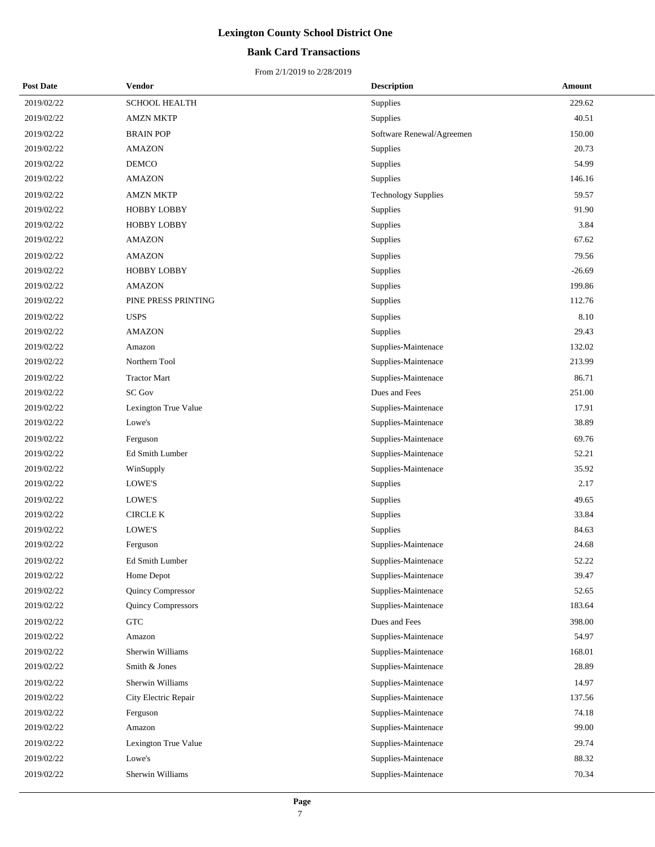## **Bank Card Transactions**

| <b>Post Date</b> | Vendor                    | <b>Description</b>         | Amount   |
|------------------|---------------------------|----------------------------|----------|
| 2019/02/22       | <b>SCHOOL HEALTH</b>      | Supplies                   | 229.62   |
| 2019/02/22       | <b>AMZN MKTP</b>          | Supplies                   | 40.51    |
| 2019/02/22       | <b>BRAIN POP</b>          | Software Renewal/Agreemen  | 150.00   |
| 2019/02/22       | <b>AMAZON</b>             | Supplies                   | 20.73    |
| 2019/02/22       | <b>DEMCO</b>              | Supplies                   | 54.99    |
| 2019/02/22       | <b>AMAZON</b>             | Supplies                   | 146.16   |
| 2019/02/22       | <b>AMZN MKTP</b>          | <b>Technology Supplies</b> | 59.57    |
| 2019/02/22       | <b>HOBBY LOBBY</b>        | Supplies                   | 91.90    |
| 2019/02/22       | <b>HOBBY LOBBY</b>        | Supplies                   | 3.84     |
| 2019/02/22       | <b>AMAZON</b>             | Supplies                   | 67.62    |
| 2019/02/22       | <b>AMAZON</b>             | Supplies                   | 79.56    |
| 2019/02/22       | <b>HOBBY LOBBY</b>        | Supplies                   | $-26.69$ |
| 2019/02/22       | <b>AMAZON</b>             | Supplies                   | 199.86   |
| 2019/02/22       | PINE PRESS PRINTING       | Supplies                   | 112.76   |
| 2019/02/22       | <b>USPS</b>               | Supplies                   | 8.10     |
| 2019/02/22       | <b>AMAZON</b>             | Supplies                   | 29.43    |
| 2019/02/22       | Amazon                    | Supplies-Maintenace        | 132.02   |
| 2019/02/22       | Northern Tool             | Supplies-Maintenace        | 213.99   |
| 2019/02/22       | <b>Tractor Mart</b>       | Supplies-Maintenace        | 86.71    |
| 2019/02/22       | <b>SC Gov</b>             | Dues and Fees              | 251.00   |
| 2019/02/22       | Lexington True Value      | Supplies-Maintenace        | 17.91    |
| 2019/02/22       | Lowe's                    | Supplies-Maintenace        | 38.89    |
| 2019/02/22       | Ferguson                  | Supplies-Maintenace        | 69.76    |
| 2019/02/22       | Ed Smith Lumber           | Supplies-Maintenace        | 52.21    |
| 2019/02/22       | WinSupply                 | Supplies-Maintenace        | 35.92    |
| 2019/02/22       | LOWE'S                    | Supplies                   | 2.17     |
| 2019/02/22       | LOWE'S                    | Supplies                   | 49.65    |
| 2019/02/22       | <b>CIRCLE K</b>           | Supplies                   | 33.84    |
| 2019/02/22       | LOWE'S                    | Supplies                   | 84.63    |
| 2019/02/22       | Ferguson                  | Supplies-Maintenace        | 24.68    |
| 2019/02/22       | Ed Smith Lumber           | Supplies-Maintenace        | 52.22    |
| 2019/02/22       | Home Depot                | Supplies-Maintenace        | 39.47    |
| 2019/02/22       | Quincy Compressor         | Supplies-Maintenace        | 52.65    |
| 2019/02/22       | <b>Quincy Compressors</b> | Supplies-Maintenace        | 183.64   |
| 2019/02/22       | <b>GTC</b>                | Dues and Fees              | 398.00   |
| 2019/02/22       | Amazon                    | Supplies-Maintenace        | 54.97    |
| 2019/02/22       | Sherwin Williams          | Supplies-Maintenace        | 168.01   |
| 2019/02/22       | Smith & Jones             | Supplies-Maintenace        | 28.89    |
| 2019/02/22       | Sherwin Williams          | Supplies-Maintenace        | 14.97    |
| 2019/02/22       | City Electric Repair      | Supplies-Maintenace        | 137.56   |
| 2019/02/22       | Ferguson                  | Supplies-Maintenace        | 74.18    |
| 2019/02/22       | Amazon                    | Supplies-Maintenace        | 99.00    |
| 2019/02/22       | Lexington True Value      | Supplies-Maintenace        | 29.74    |
| 2019/02/22       | Lowe's                    | Supplies-Maintenace        | 88.32    |
| 2019/02/22       | Sherwin Williams          | Supplies-Maintenace        | 70.34    |
|                  |                           |                            |          |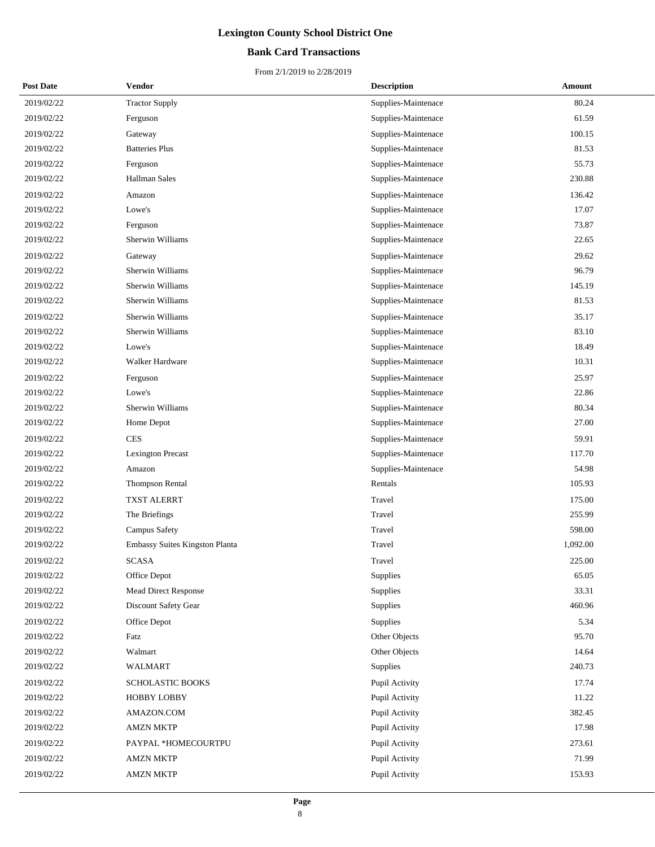## **Bank Card Transactions**

| <b>Post Date</b> | Vendor                         | <b>Description</b>  | <b>Amount</b> |
|------------------|--------------------------------|---------------------|---------------|
| 2019/02/22       | <b>Tractor Supply</b>          | Supplies-Maintenace | 80.24         |
| 2019/02/22       | Ferguson                       | Supplies-Maintenace | 61.59         |
| 2019/02/22       | Gateway                        | Supplies-Maintenace | 100.15        |
| 2019/02/22       | <b>Batteries Plus</b>          | Supplies-Maintenace | 81.53         |
| 2019/02/22       | Ferguson                       | Supplies-Maintenace | 55.73         |
| 2019/02/22       | <b>Hallman Sales</b>           | Supplies-Maintenace | 230.88        |
| 2019/02/22       | Amazon                         | Supplies-Maintenace | 136.42        |
| 2019/02/22       | Lowe's                         | Supplies-Maintenace | 17.07         |
| 2019/02/22       | Ferguson                       | Supplies-Maintenace | 73.87         |
| 2019/02/22       | Sherwin Williams               | Supplies-Maintenace | 22.65         |
| 2019/02/22       | Gateway                        | Supplies-Maintenace | 29.62         |
| 2019/02/22       | Sherwin Williams               | Supplies-Maintenace | 96.79         |
| 2019/02/22       | Sherwin Williams               | Supplies-Maintenace | 145.19        |
| 2019/02/22       | Sherwin Williams               | Supplies-Maintenace | 81.53         |
| 2019/02/22       | Sherwin Williams               | Supplies-Maintenace | 35.17         |
| 2019/02/22       | Sherwin Williams               | Supplies-Maintenace | 83.10         |
| 2019/02/22       | Lowe's                         | Supplies-Maintenace | 18.49         |
| 2019/02/22       | <b>Walker Hardware</b>         | Supplies-Maintenace | 10.31         |
| 2019/02/22       | Ferguson                       | Supplies-Maintenace | 25.97         |
| 2019/02/22       | Lowe's                         | Supplies-Maintenace | 22.86         |
| 2019/02/22       | Sherwin Williams               | Supplies-Maintenace | 80.34         |
| 2019/02/22       | Home Depot                     | Supplies-Maintenace | 27.00         |
| 2019/02/22       | <b>CES</b>                     | Supplies-Maintenace | 59.91         |
| 2019/02/22       | <b>Lexington Precast</b>       | Supplies-Maintenace | 117.70        |
| 2019/02/22       | Amazon                         | Supplies-Maintenace | 54.98         |
| 2019/02/22       | <b>Thompson Rental</b>         | Rentals             | 105.93        |
| 2019/02/22       | <b>TXST ALERRT</b>             | Travel              | 175.00        |
| 2019/02/22       | The Briefings                  | Travel              | 255.99        |
| 2019/02/22       | Campus Safety                  | Travel              | 598.00        |
| 2019/02/22       | Embassy Suites Kingston Planta | Travel              | 1,092.00      |
| 2019/02/22       | SCASA                          | Travel              | 225.00        |
| 2019/02/22       | Office Depot                   | Supplies            | 65.05         |
| 2019/02/22       | Mead Direct Response           | Supplies            | 33.31         |
| 2019/02/22       | Discount Safety Gear           | Supplies            | 460.96        |
| 2019/02/22       | Office Depot                   | Supplies            | 5.34          |
| 2019/02/22       | Fatz                           | Other Objects       | 95.70         |
| 2019/02/22       | Walmart                        | Other Objects       | 14.64         |
| 2019/02/22       | <b>WALMART</b>                 | <b>Supplies</b>     | 240.73        |
| 2019/02/22       | SCHOLASTIC BOOKS               | Pupil Activity      | 17.74         |
| 2019/02/22       | <b>HOBBY LOBBY</b>             | Pupil Activity      | 11.22         |
| 2019/02/22       | AMAZON.COM                     | Pupil Activity      | 382.45        |
| 2019/02/22       | <b>AMZN MKTP</b>               | Pupil Activity      | 17.98         |
| 2019/02/22       | PAYPAL *HOMECOURTPU            | Pupil Activity      | 273.61        |
| 2019/02/22       | <b>AMZN MKTP</b>               | Pupil Activity      | 71.99         |
| 2019/02/22       | <b>AMZN MKTP</b>               | Pupil Activity      | 153.93        |
|                  |                                |                     |               |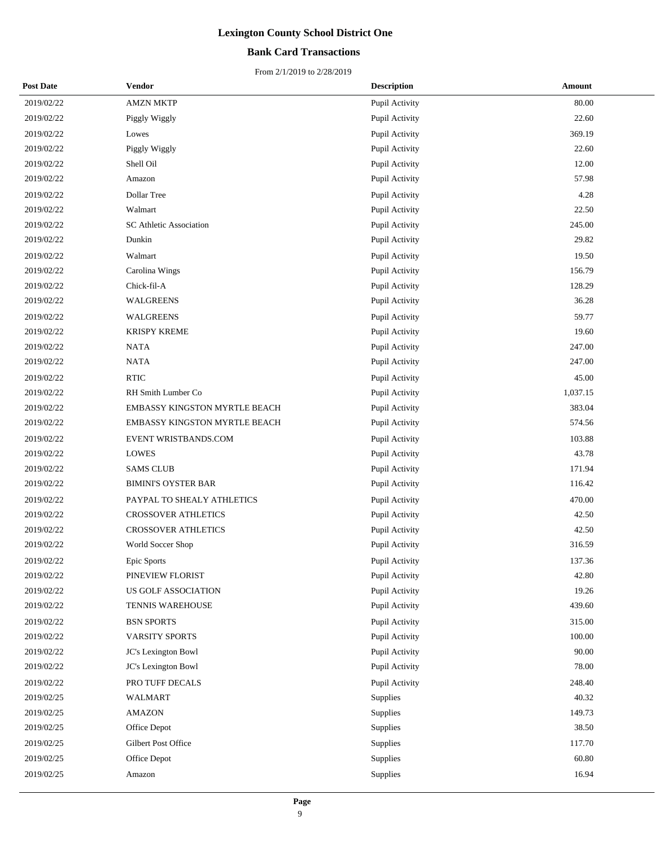## **Bank Card Transactions**

| <b>Post Date</b> | <b>Vendor</b>                        | <b>Description</b> | Amount   |
|------------------|--------------------------------------|--------------------|----------|
| 2019/02/22       | <b>AMZN MKTP</b>                     | Pupil Activity     | 80.00    |
| 2019/02/22       | Piggly Wiggly                        | Pupil Activity     | 22.60    |
| 2019/02/22       | Lowes                                | Pupil Activity     | 369.19   |
| 2019/02/22       | Piggly Wiggly                        | Pupil Activity     | 22.60    |
| 2019/02/22       | Shell Oil                            | Pupil Activity     | 12.00    |
| 2019/02/22       | Amazon                               | Pupil Activity     | 57.98    |
| 2019/02/22       | Dollar Tree                          | Pupil Activity     | 4.28     |
| 2019/02/22       | Walmart                              | Pupil Activity     | 22.50    |
| 2019/02/22       | SC Athletic Association              | Pupil Activity     | 245.00   |
| 2019/02/22       | Dunkin                               | Pupil Activity     | 29.82    |
| 2019/02/22       | Walmart                              | Pupil Activity     | 19.50    |
| 2019/02/22       | Carolina Wings                       | Pupil Activity     | 156.79   |
| 2019/02/22       | Chick-fil-A                          | Pupil Activity     | 128.29   |
| 2019/02/22       | <b>WALGREENS</b>                     | Pupil Activity     | 36.28    |
| 2019/02/22       | <b>WALGREENS</b>                     | Pupil Activity     | 59.77    |
| 2019/02/22       | <b>KRISPY KREME</b>                  | Pupil Activity     | 19.60    |
| 2019/02/22       | <b>NATA</b>                          | Pupil Activity     | 247.00   |
| 2019/02/22       | <b>NATA</b>                          | Pupil Activity     | 247.00   |
| 2019/02/22       | <b>RTIC</b>                          | Pupil Activity     | 45.00    |
| 2019/02/22       | RH Smith Lumber Co                   | Pupil Activity     | 1,037.15 |
| 2019/02/22       | EMBASSY KINGSTON MYRTLE BEACH        | Pupil Activity     | 383.04   |
| 2019/02/22       | <b>EMBASSY KINGSTON MYRTLE BEACH</b> | Pupil Activity     | 574.56   |
| 2019/02/22       | EVENT WRISTBANDS.COM                 | Pupil Activity     | 103.88   |
| 2019/02/22       | <b>LOWES</b>                         | Pupil Activity     | 43.78    |
| 2019/02/22       | <b>SAMS CLUB</b>                     | Pupil Activity     | 171.94   |
| 2019/02/22       | <b>BIMINI'S OYSTER BAR</b>           | Pupil Activity     | 116.42   |
| 2019/02/22       | PAYPAL TO SHEALY ATHLETICS           | Pupil Activity     | 470.00   |
| 2019/02/22       | <b>CROSSOVER ATHLETICS</b>           | Pupil Activity     | 42.50    |
| 2019/02/22       | <b>CROSSOVER ATHLETICS</b>           | Pupil Activity     | 42.50    |
| 2019/02/22       | World Soccer Shop                    | Pupil Activity     | 316.59   |
| 2019/02/22       | Epic Sports                          | Pupil Activity     | 137.36   |
| 2019/02/22       | PINEVIEW FLORIST                     | Pupil Activity     | 42.80    |
| 2019/02/22       | US GOLF ASSOCIATION                  | Pupil Activity     | 19.26    |
| 2019/02/22       | TENNIS WAREHOUSE                     | Pupil Activity     | 439.60   |
| 2019/02/22       | <b>BSN SPORTS</b>                    | Pupil Activity     | 315.00   |
| 2019/02/22       | VARSITY SPORTS                       | Pupil Activity     | 100.00   |
| 2019/02/22       | JC's Lexington Bowl                  | Pupil Activity     | 90.00    |
| 2019/02/22       | JC's Lexington Bowl                  | Pupil Activity     | 78.00    |
| 2019/02/22       | PRO TUFF DECALS                      | Pupil Activity     | 248.40   |
| 2019/02/25       | <b>WALMART</b>                       | <b>Supplies</b>    | 40.32    |
| 2019/02/25       | <b>AMAZON</b>                        | Supplies           | 149.73   |
| 2019/02/25       | Office Depot                         | Supplies           | 38.50    |
| 2019/02/25       | Gilbert Post Office                  | Supplies           | 117.70   |
| 2019/02/25       | Office Depot                         | Supplies           | 60.80    |
| 2019/02/25       | Amazon                               | Supplies           | 16.94    |
|                  |                                      |                    |          |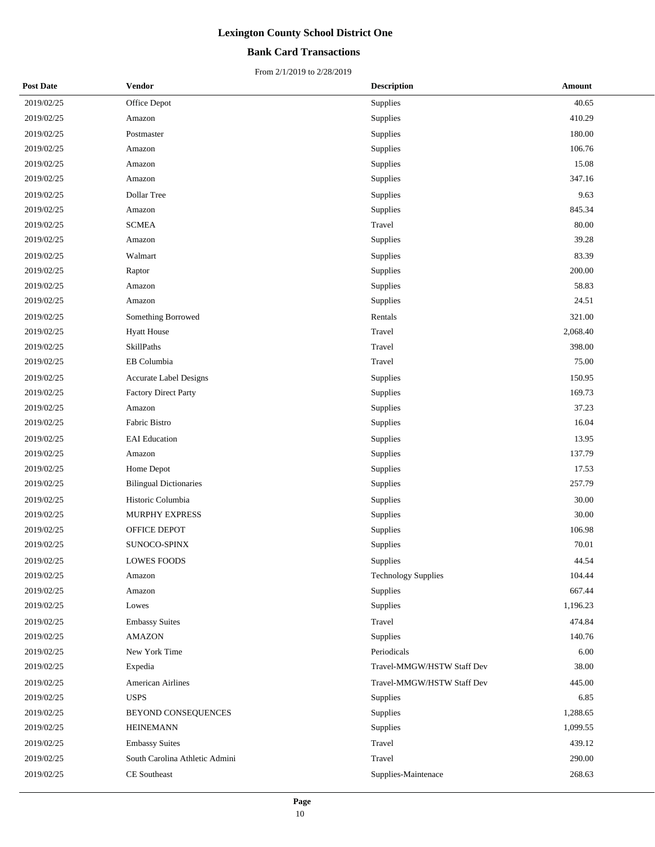## **Bank Card Transactions**

| <b>Post Date</b> | <b>Vendor</b>                  | <b>Description</b>         | Amount   |
|------------------|--------------------------------|----------------------------|----------|
| 2019/02/25       | Office Depot                   | Supplies                   | 40.65    |
| 2019/02/25       | Amazon                         | Supplies                   | 410.29   |
| 2019/02/25       | Postmaster                     | Supplies                   | 180.00   |
| 2019/02/25       | Amazon                         | Supplies                   | 106.76   |
| 2019/02/25       | Amazon                         | Supplies                   | 15.08    |
| 2019/02/25       | Amazon                         | Supplies                   | 347.16   |
| 2019/02/25       | Dollar Tree                    | Supplies                   | 9.63     |
| 2019/02/25       | Amazon                         | Supplies                   | 845.34   |
| 2019/02/25       | <b>SCMEA</b>                   | Travel                     | 80.00    |
| 2019/02/25       | Amazon                         | Supplies                   | 39.28    |
| 2019/02/25       | Walmart                        | Supplies                   | 83.39    |
| 2019/02/25       | Raptor                         | Supplies                   | 200.00   |
| 2019/02/25       | Amazon                         | Supplies                   | 58.83    |
| 2019/02/25       | Amazon                         | Supplies                   | 24.51    |
| 2019/02/25       | Something Borrowed             | Rentals                    | 321.00   |
| 2019/02/25       | <b>Hyatt House</b>             | Travel                     | 2,068.40 |
| 2019/02/25       | SkillPaths                     | Travel                     | 398.00   |
| 2019/02/25       | EB Columbia                    | Travel                     | 75.00    |
| 2019/02/25       | Accurate Label Designs         | Supplies                   | 150.95   |
| 2019/02/25       | <b>Factory Direct Party</b>    | Supplies                   | 169.73   |
| 2019/02/25       | Amazon                         | Supplies                   | 37.23    |
| 2019/02/25       | Fabric Bistro                  | Supplies                   | 16.04    |
| 2019/02/25       | <b>EAI</b> Education           | Supplies                   | 13.95    |
| 2019/02/25       | Amazon                         | Supplies                   | 137.79   |
| 2019/02/25       | Home Depot                     | Supplies                   | 17.53    |
| 2019/02/25       | <b>Bilingual Dictionaries</b>  | Supplies                   | 257.79   |
| 2019/02/25       | Historic Columbia              | Supplies                   | 30.00    |
| 2019/02/25       | MURPHY EXPRESS                 | Supplies                   | 30.00    |
| 2019/02/25       | OFFICE DEPOT                   | Supplies                   | 106.98   |
| 2019/02/25       | <b>SUNOCO-SPINX</b>            | Supplies                   | 70.01    |
| 2019/02/25       | LOWES FOODS                    | Supplies                   | 44.54    |
| 2019/02/25       | Amazon                         | <b>Technology Supplies</b> | 104.44   |
| 2019/02/25       | Amazon                         | Supplies                   | 667.44   |
| 2019/02/25       | Lowes                          | Supplies                   | 1,196.23 |
| 2019/02/25       | <b>Embassy Suites</b>          | Travel                     | 474.84   |
| 2019/02/25       | <b>AMAZON</b>                  | Supplies                   | 140.76   |
| 2019/02/25       | New York Time                  | Periodicals                | 6.00     |
| 2019/02/25       | Expedia                        | Travel-MMGW/HSTW Staff Dev | 38.00    |
| 2019/02/25       | American Airlines              | Travel-MMGW/HSTW Staff Dev | 445.00   |
| 2019/02/25       | <b>USPS</b>                    | Supplies                   | 6.85     |
| 2019/02/25       | BEYOND CONSEQUENCES            | Supplies                   | 1,288.65 |
| 2019/02/25       | <b>HEINEMANN</b>               | Supplies                   | 1,099.55 |
| 2019/02/25       | <b>Embassy Suites</b>          | Travel                     | 439.12   |
| 2019/02/25       | South Carolina Athletic Admini | Travel                     | 290.00   |
| 2019/02/25       | CE Southeast                   | Supplies-Maintenace        | 268.63   |
|                  |                                |                            |          |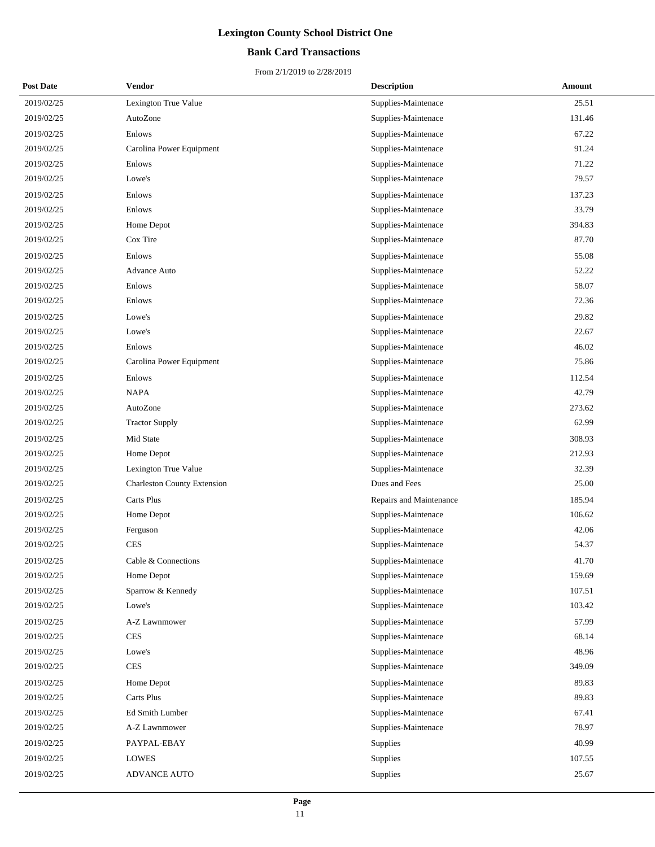## **Bank Card Transactions**

| <b>Post Date</b> | Vendor                             | <b>Description</b>      | Amount |
|------------------|------------------------------------|-------------------------|--------|
| 2019/02/25       | Lexington True Value               | Supplies-Maintenace     | 25.51  |
| 2019/02/25       | AutoZone                           | Supplies-Maintenace     | 131.46 |
| 2019/02/25       | Enlows                             | Supplies-Maintenace     | 67.22  |
| 2019/02/25       | Carolina Power Equipment           | Supplies-Maintenace     | 91.24  |
| 2019/02/25       | Enlows                             | Supplies-Maintenace     | 71.22  |
| 2019/02/25       | Lowe's                             | Supplies-Maintenace     | 79.57  |
| 2019/02/25       | Enlows                             | Supplies-Maintenace     | 137.23 |
| 2019/02/25       | Enlows                             | Supplies-Maintenace     | 33.79  |
| 2019/02/25       | Home Depot                         | Supplies-Maintenace     | 394.83 |
| 2019/02/25       | Cox Tire                           | Supplies-Maintenace     | 87.70  |
| 2019/02/25       | Enlows                             | Supplies-Maintenace     | 55.08  |
| 2019/02/25       | Advance Auto                       | Supplies-Maintenace     | 52.22  |
| 2019/02/25       | Enlows                             | Supplies-Maintenace     | 58.07  |
| 2019/02/25       | Enlows                             | Supplies-Maintenace     | 72.36  |
| 2019/02/25       | Lowe's                             | Supplies-Maintenace     | 29.82  |
| 2019/02/25       | Lowe's                             | Supplies-Maintenace     | 22.67  |
| 2019/02/25       | Enlows                             | Supplies-Maintenace     | 46.02  |
| 2019/02/25       | Carolina Power Equipment           | Supplies-Maintenace     | 75.86  |
| 2019/02/25       | Enlows                             | Supplies-Maintenace     | 112.54 |
| 2019/02/25       | <b>NAPA</b>                        | Supplies-Maintenace     | 42.79  |
| 2019/02/25       | AutoZone                           | Supplies-Maintenace     | 273.62 |
| 2019/02/25       | <b>Tractor Supply</b>              | Supplies-Maintenace     | 62.99  |
| 2019/02/25       | Mid State                          | Supplies-Maintenace     | 308.93 |
| 2019/02/25       | Home Depot                         | Supplies-Maintenace     | 212.93 |
| 2019/02/25       | Lexington True Value               | Supplies-Maintenace     | 32.39  |
| 2019/02/25       | <b>Charleston County Extension</b> | Dues and Fees           | 25.00  |
| 2019/02/25       | Carts Plus                         | Repairs and Maintenance | 185.94 |
| 2019/02/25       | Home Depot                         | Supplies-Maintenace     | 106.62 |
| 2019/02/25       | Ferguson                           | Supplies-Maintenace     | 42.06  |
| 2019/02/25       | CES                                | Supplies-Maintenace     | 54.37  |
| 2019/02/25       | Cable & Connections                | Supplies-Maintenace     | 41.70  |
| 2019/02/25       | Home Depot                         | Supplies-Maintenace     | 159.69 |
| 2019/02/25       | Sparrow & Kennedy                  | Supplies-Maintenace     | 107.51 |
| 2019/02/25       | Lowe's                             | Supplies-Maintenace     | 103.42 |
| 2019/02/25       | A-Z Lawnmower                      | Supplies-Maintenace     | 57.99  |
| 2019/02/25       | <b>CES</b>                         | Supplies-Maintenace     | 68.14  |
| 2019/02/25       | Lowe's                             | Supplies-Maintenace     | 48.96  |
| 2019/02/25       | CES                                | Supplies-Maintenace     | 349.09 |
| 2019/02/25       | Home Depot                         | Supplies-Maintenace     | 89.83  |
| 2019/02/25       | Carts Plus                         | Supplies-Maintenace     | 89.83  |
| 2019/02/25       | Ed Smith Lumber                    | Supplies-Maintenace     | 67.41  |
| 2019/02/25       | A-Z Lawnmower                      | Supplies-Maintenace     | 78.97  |
| 2019/02/25       | PAYPAL-EBAY                        | Supplies                | 40.99  |
| 2019/02/25       | LOWES                              | Supplies                | 107.55 |
| 2019/02/25       | ADVANCE AUTO                       | Supplies                | 25.67  |
|                  |                                    |                         |        |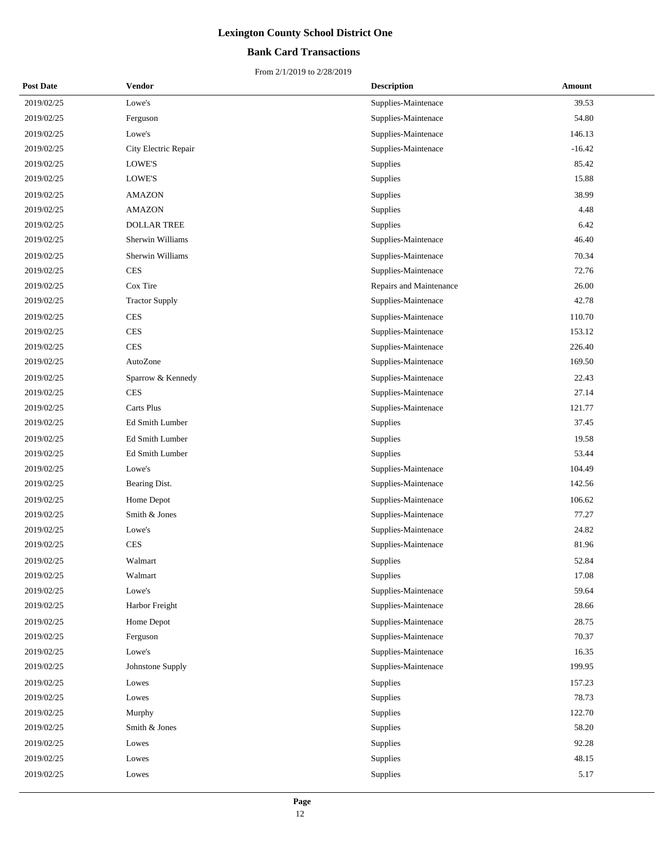## **Bank Card Transactions**

| <b>Post Date</b> | <b>Vendor</b>         | <b>Description</b>      | Amount   |
|------------------|-----------------------|-------------------------|----------|
| 2019/02/25       | Lowe's                | Supplies-Maintenace     | 39.53    |
| 2019/02/25       | Ferguson              | Supplies-Maintenace     | 54.80    |
| 2019/02/25       | Lowe's                | Supplies-Maintenace     | 146.13   |
| 2019/02/25       | City Electric Repair  | Supplies-Maintenace     | $-16.42$ |
| 2019/02/25       | LOWE'S                | Supplies                | 85.42    |
| 2019/02/25       | LOWE'S                | Supplies                | 15.88    |
| 2019/02/25       | <b>AMAZON</b>         | Supplies                | 38.99    |
| 2019/02/25       | <b>AMAZON</b>         | Supplies                | 4.48     |
| 2019/02/25       | <b>DOLLAR TREE</b>    | Supplies                | 6.42     |
| 2019/02/25       | Sherwin Williams      | Supplies-Maintenace     | 46.40    |
| 2019/02/25       | Sherwin Williams      | Supplies-Maintenace     | 70.34    |
| 2019/02/25       | <b>CES</b>            | Supplies-Maintenace     | 72.76    |
| 2019/02/25       | Cox Tire              | Repairs and Maintenance | 26.00    |
| 2019/02/25       | <b>Tractor Supply</b> | Supplies-Maintenace     | 42.78    |
| 2019/02/25       | <b>CES</b>            | Supplies-Maintenace     | 110.70   |
| 2019/02/25       | <b>CES</b>            | Supplies-Maintenace     | 153.12   |
| 2019/02/25       | <b>CES</b>            | Supplies-Maintenace     | 226.40   |
| 2019/02/25       | AutoZone              | Supplies-Maintenace     | 169.50   |
| 2019/02/25       | Sparrow & Kennedy     | Supplies-Maintenace     | 22.43    |
| 2019/02/25       | <b>CES</b>            | Supplies-Maintenace     | 27.14    |
| 2019/02/25       | Carts Plus            | Supplies-Maintenace     | 121.77   |
| 2019/02/25       | Ed Smith Lumber       | Supplies                | 37.45    |
| 2019/02/25       | Ed Smith Lumber       | Supplies                | 19.58    |
| 2019/02/25       | Ed Smith Lumber       | Supplies                | 53.44    |
| 2019/02/25       | Lowe's                | Supplies-Maintenace     | 104.49   |
| 2019/02/25       | Bearing Dist.         | Supplies-Maintenace     | 142.56   |
| 2019/02/25       | Home Depot            | Supplies-Maintenace     | 106.62   |
| 2019/02/25       | Smith & Jones         | Supplies-Maintenace     | 77.27    |
| 2019/02/25       | Lowe's                | Supplies-Maintenace     | 24.82    |
| 2019/02/25       | <b>CES</b>            | Supplies-Maintenace     | 81.96    |
| 2019/02/25       | Walmart               | Supplies                | 52.84    |
| 2019/02/25       | Walmart               | Supplies                | 17.08    |
| 2019/02/25       | Lowe's                | Supplies-Maintenace     | 59.64    |
| 2019/02/25       | Harbor Freight        | Supplies-Maintenace     | 28.66    |
| 2019/02/25       | Home Depot            | Supplies-Maintenace     | 28.75    |
| 2019/02/25       | Ferguson              | Supplies-Maintenace     | 70.37    |
| 2019/02/25       | Lowe's                | Supplies-Maintenace     | 16.35    |
| 2019/02/25       | Johnstone Supply      | Supplies-Maintenace     | 199.95   |
| 2019/02/25       | Lowes                 | Supplies                | 157.23   |
| 2019/02/25       | Lowes                 | Supplies                | 78.73    |
| 2019/02/25       | Murphy                | Supplies                | 122.70   |
| 2019/02/25       | Smith & Jones         | Supplies                | 58.20    |
| 2019/02/25       | Lowes                 | Supplies                | 92.28    |
| 2019/02/25       | Lowes                 | Supplies                | 48.15    |
| 2019/02/25       | Lowes                 | Supplies                | 5.17     |
|                  |                       |                         |          |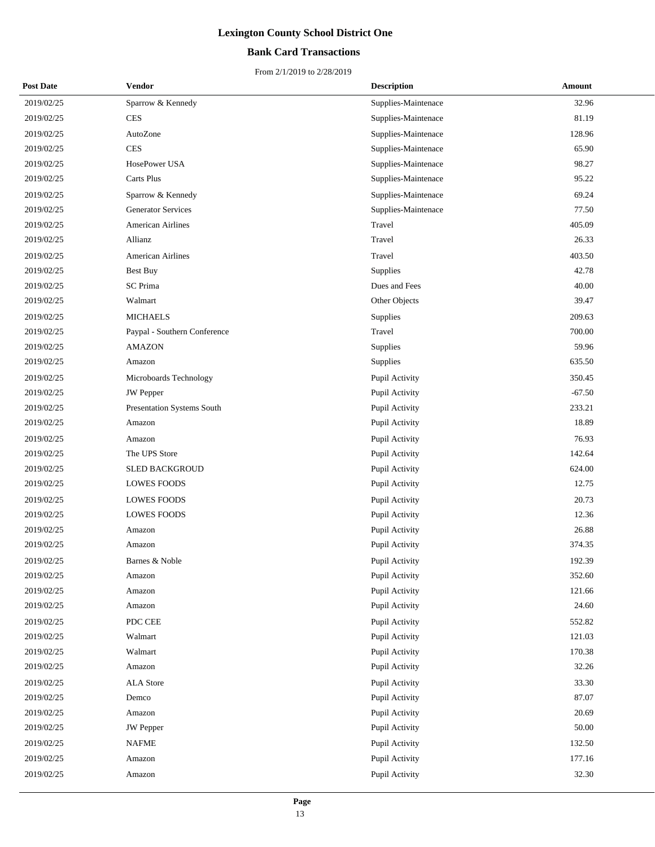## **Bank Card Transactions**

| <b>Post Date</b> | Vendor                       | <b>Description</b>  | <b>Amount</b> |
|------------------|------------------------------|---------------------|---------------|
| 2019/02/25       | Sparrow & Kennedy            | Supplies-Maintenace | 32.96         |
| 2019/02/25       | <b>CES</b>                   | Supplies-Maintenace | 81.19         |
| 2019/02/25       | AutoZone                     | Supplies-Maintenace | 128.96        |
| 2019/02/25       | <b>CES</b>                   | Supplies-Maintenace | 65.90         |
| 2019/02/25       | HosePower USA                | Supplies-Maintenace | 98.27         |
| 2019/02/25       | Carts Plus                   | Supplies-Maintenace | 95.22         |
| 2019/02/25       | Sparrow & Kennedy            | Supplies-Maintenace | 69.24         |
| 2019/02/25       | <b>Generator Services</b>    | Supplies-Maintenace | 77.50         |
| 2019/02/25       | <b>American Airlines</b>     | Travel              | 405.09        |
| 2019/02/25       | Allianz                      | Travel              | 26.33         |
| 2019/02/25       | <b>American Airlines</b>     | Travel              | 403.50        |
| 2019/02/25       | Best Buy                     | Supplies            | 42.78         |
| 2019/02/25       | <b>SC</b> Prima              | Dues and Fees       | 40.00         |
| 2019/02/25       | Walmart                      | Other Objects       | 39.47         |
| 2019/02/25       | <b>MICHAELS</b>              | Supplies            | 209.63        |
| 2019/02/25       | Paypal - Southern Conference | Travel              | 700.00        |
| 2019/02/25       | <b>AMAZON</b>                | Supplies            | 59.96         |
| 2019/02/25       | Amazon                       | Supplies            | 635.50        |
| 2019/02/25       | Microboards Technology       | Pupil Activity      | 350.45        |
| 2019/02/25       | <b>JW</b> Pepper             | Pupil Activity      | $-67.50$      |
| 2019/02/25       | Presentation Systems South   | Pupil Activity      | 233.21        |
| 2019/02/25       | Amazon                       | Pupil Activity      | 18.89         |
| 2019/02/25       | Amazon                       | Pupil Activity      | 76.93         |
| 2019/02/25       | The UPS Store                | Pupil Activity      | 142.64        |
| 2019/02/25       | SLED BACKGROUD               | Pupil Activity      | 624.00        |
| 2019/02/25       | <b>LOWES FOODS</b>           | Pupil Activity      | 12.75         |
| 2019/02/25       | <b>LOWES FOODS</b>           | Pupil Activity      | 20.73         |
| 2019/02/25       | <b>LOWES FOODS</b>           | Pupil Activity      | 12.36         |
| 2019/02/25       | Amazon                       | Pupil Activity      | 26.88         |
| 2019/02/25       | Amazon                       | Pupil Activity      | 374.35        |
| 2019/02/25       | Barnes & Noble               | Pupil Activity      | 192.39        |
| 2019/02/25       | Amazon                       | Pupil Activity      | 352.60        |
| 2019/02/25       | Amazon                       | Pupil Activity      | 121.66        |
| 2019/02/25       | Amazon                       | Pupil Activity      | 24.60         |
| 2019/02/25       | PDC CEE                      | Pupil Activity      | 552.82        |
| 2019/02/25       | Walmart                      | Pupil Activity      | 121.03        |
| 2019/02/25       | Walmart                      | Pupil Activity      | 170.38        |
| 2019/02/25       | Amazon                       | Pupil Activity      | 32.26         |
| 2019/02/25       | <b>ALA</b> Store             | Pupil Activity      | 33.30         |
| 2019/02/25       | Demco                        | Pupil Activity      | 87.07         |
| 2019/02/25       | Amazon                       | Pupil Activity      | 20.69         |
| 2019/02/25       | JW Pepper                    | Pupil Activity      | 50.00         |
| 2019/02/25       | <b>NAFME</b>                 | Pupil Activity      | 132.50        |
| 2019/02/25       | Amazon                       | Pupil Activity      | 177.16        |
| 2019/02/25       | Amazon                       | Pupil Activity      | 32.30         |
|                  |                              |                     |               |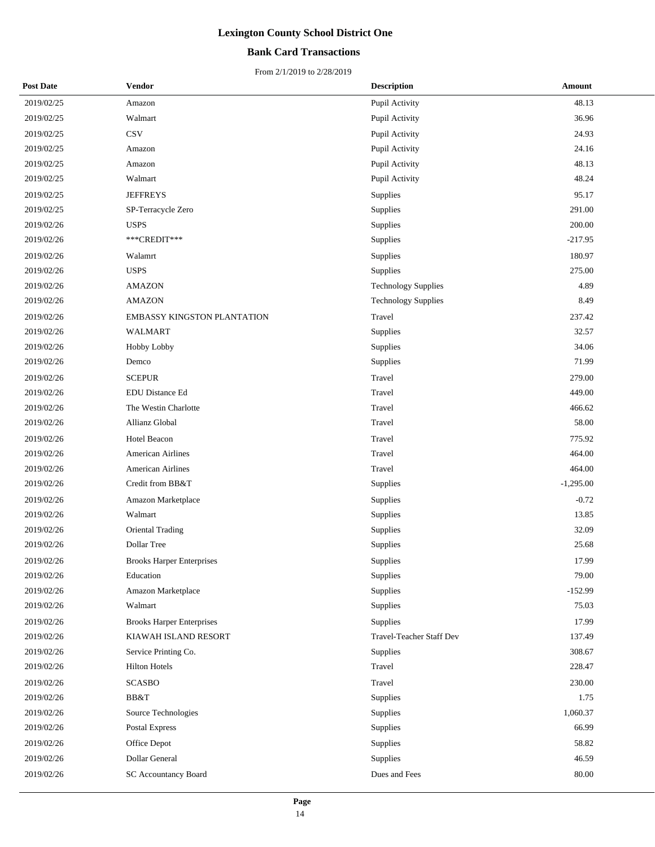## **Bank Card Transactions**

| <b>Post Date</b> | <b>Vendor</b>                      | <b>Description</b>         | Amount      |
|------------------|------------------------------------|----------------------------|-------------|
| 2019/02/25       | Amazon                             | Pupil Activity             | 48.13       |
| 2019/02/25       | Walmart                            | Pupil Activity             | 36.96       |
| 2019/02/25       | <b>CSV</b>                         | Pupil Activity             | 24.93       |
| 2019/02/25       | Amazon                             | Pupil Activity             | 24.16       |
| 2019/02/25       | Amazon                             | Pupil Activity             | 48.13       |
| 2019/02/25       | Walmart                            | Pupil Activity             | 48.24       |
| 2019/02/25       | <b>JEFFREYS</b>                    | <b>Supplies</b>            | 95.17       |
| 2019/02/25       | SP-Terracycle Zero                 | Supplies                   | 291.00      |
| 2019/02/26       | <b>USPS</b>                        | Supplies                   | 200.00      |
| 2019/02/26       | ***CREDIT***                       | Supplies                   | $-217.95$   |
| 2019/02/26       | Walamrt                            | Supplies                   | 180.97      |
| 2019/02/26       | <b>USPS</b>                        | Supplies                   | 275.00      |
| 2019/02/26       | <b>AMAZON</b>                      | <b>Technology Supplies</b> | 4.89        |
| 2019/02/26       | <b>AMAZON</b>                      | <b>Technology Supplies</b> | 8.49        |
| 2019/02/26       | <b>EMBASSY KINGSTON PLANTATION</b> | Travel                     | 237.42      |
| 2019/02/26       | <b>WALMART</b>                     | Supplies                   | 32.57       |
| 2019/02/26       | Hobby Lobby                        | Supplies                   | 34.06       |
| 2019/02/26       | Demco                              | Supplies                   | 71.99       |
| 2019/02/26       | <b>SCEPUR</b>                      | Travel                     | 279.00      |
| 2019/02/26       | <b>EDU Distance Ed</b>             | Travel                     | 449.00      |
| 2019/02/26       | The Westin Charlotte               | Travel                     | 466.62      |
| 2019/02/26       | Allianz Global                     | Travel                     | 58.00       |
| 2019/02/26       | Hotel Beacon                       | Travel                     | 775.92      |
| 2019/02/26       | American Airlines                  | Travel                     | 464.00      |
| 2019/02/26       | <b>American Airlines</b>           | Travel                     | 464.00      |
| 2019/02/26       | Credit from BB&T                   | Supplies                   | $-1,295.00$ |
| 2019/02/26       | Amazon Marketplace                 | Supplies                   | $-0.72$     |
| 2019/02/26       | Walmart                            | Supplies                   | 13.85       |
| 2019/02/26       | <b>Oriental Trading</b>            | Supplies                   | 32.09       |
| 2019/02/26       | Dollar Tree                        | Supplies                   | 25.68       |
| 2019/02/26       | <b>Brooks Harper Enterprises</b>   | Supplies                   | 17.99       |
| 2019/02/26       | Education                          | Supplies                   | 79.00       |
| 2019/02/26       | Amazon Marketplace                 | Supplies                   | $-152.99$   |
| 2019/02/26       | Walmart                            | Supplies                   | 75.03       |
| 2019/02/26       | <b>Brooks Harper Enterprises</b>   | Supplies                   | 17.99       |
| 2019/02/26       | KIAWAH ISLAND RESORT               | Travel-Teacher Staff Dev   | 137.49      |
| 2019/02/26       | Service Printing Co.               | Supplies                   | 308.67      |
| 2019/02/26       | <b>Hilton Hotels</b>               | Travel                     | 228.47      |
| 2019/02/26       | <b>SCASBO</b>                      | Travel                     | 230.00      |
| 2019/02/26       | BB&T                               | Supplies                   | 1.75        |
| 2019/02/26       | Source Technologies                | Supplies                   | 1,060.37    |
| 2019/02/26       | Postal Express                     | Supplies                   | 66.99       |
| 2019/02/26       | Office Depot                       | Supplies                   | 58.82       |
| 2019/02/26       | Dollar General                     | Supplies                   | 46.59       |
| 2019/02/26       | <b>SC Accountancy Board</b>        | Dues and Fees              | 80.00       |
|                  |                                    |                            |             |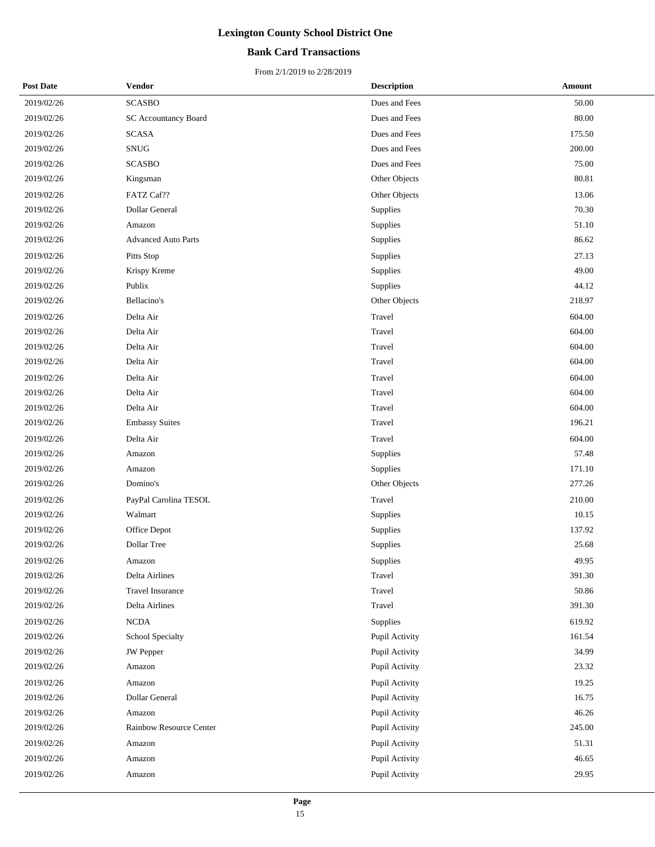## **Bank Card Transactions**

| <b>Post Date</b> | <b>Vendor</b>                | <b>Description</b> | Amount |
|------------------|------------------------------|--------------------|--------|
| 2019/02/26       | <b>SCASBO</b>                | Dues and Fees      | 50.00  |
| 2019/02/26       | <b>SC Accountancy Board</b>  | Dues and Fees      | 80.00  |
| 2019/02/26       | <b>SCASA</b>                 | Dues and Fees      | 175.50 |
| 2019/02/26       | $\mathop{\rm SNUG}\nolimits$ | Dues and Fees      | 200.00 |
| 2019/02/26       | <b>SCASBO</b>                | Dues and Fees      | 75.00  |
| 2019/02/26       | Kingsman                     | Other Objects      | 80.81  |
| 2019/02/26       | FATZ Caf??                   | Other Objects      | 13.06  |
| 2019/02/26       | Dollar General               | Supplies           | 70.30  |
| 2019/02/26       | Amazon                       | Supplies           | 51.10  |
| 2019/02/26       | <b>Advanced Auto Parts</b>   | Supplies           | 86.62  |
| 2019/02/26       | Pitts Stop                   | Supplies           | 27.13  |
| 2019/02/26       | Krispy Kreme                 | Supplies           | 49.00  |
| 2019/02/26       | Publix                       | Supplies           | 44.12  |
| 2019/02/26       | Bellacino's                  | Other Objects      | 218.97 |
| 2019/02/26       | Delta Air                    | Travel             | 604.00 |
| 2019/02/26       | Delta Air                    | Travel             | 604.00 |
| 2019/02/26       | Delta Air                    | Travel             | 604.00 |
| 2019/02/26       | Delta Air                    | Travel             | 604.00 |
| 2019/02/26       | Delta Air                    | Travel             | 604.00 |
| 2019/02/26       | Delta Air                    | Travel             | 604.00 |
| 2019/02/26       | Delta Air                    | Travel             | 604.00 |
| 2019/02/26       | <b>Embassy Suites</b>        | Travel             | 196.21 |
| 2019/02/26       | Delta Air                    | Travel             | 604.00 |
| 2019/02/26       | Amazon                       | Supplies           | 57.48  |
| 2019/02/26       | Amazon                       | Supplies           | 171.10 |
| 2019/02/26       | Domino's                     | Other Objects      | 277.26 |
| 2019/02/26       | PayPal Carolina TESOL        | Travel             | 210.00 |
| 2019/02/26       | Walmart                      | Supplies           | 10.15  |
| 2019/02/26       | Office Depot                 | Supplies           | 137.92 |
| 2019/02/26       | Dollar Tree                  | Supplies           | 25.68  |
| 2019/02/26       | Amazon                       | Supplies           | 49.95  |
| 2019/02/26       | Delta Airlines               | Travel             | 391.30 |
| 2019/02/26       | Travel Insurance             | Travel             | 50.86  |
| 2019/02/26       | Delta Airlines               | Travel             | 391.30 |
| 2019/02/26       | <b>NCDA</b>                  | Supplies           | 619.92 |
| 2019/02/26       | School Specialty             | Pupil Activity     | 161.54 |
| 2019/02/26       | <b>JW</b> Pepper             | Pupil Activity     | 34.99  |
| 2019/02/26       | Amazon                       | Pupil Activity     | 23.32  |
| 2019/02/26       | Amazon                       | Pupil Activity     | 19.25  |
| 2019/02/26       | Dollar General               | Pupil Activity     | 16.75  |
| 2019/02/26       | Amazon                       | Pupil Activity     | 46.26  |
| 2019/02/26       | Rainbow Resource Center      | Pupil Activity     | 245.00 |
| 2019/02/26       | Amazon                       | Pupil Activity     | 51.31  |
| 2019/02/26       | Amazon                       | Pupil Activity     | 46.65  |
| 2019/02/26       | Amazon                       | Pupil Activity     | 29.95  |
|                  |                              |                    |        |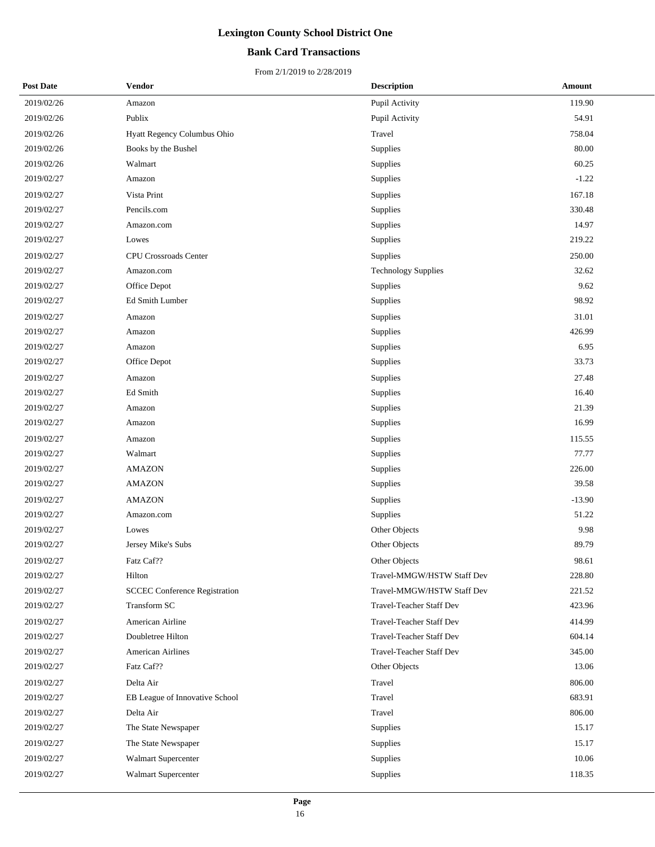## **Bank Card Transactions**

| <b>Post Date</b> | Vendor                               | <b>Description</b>              | <b>Amount</b> |
|------------------|--------------------------------------|---------------------------------|---------------|
| 2019/02/26       | Amazon                               | Pupil Activity                  | 119.90        |
| 2019/02/26       | Publix                               | Pupil Activity                  | 54.91         |
| 2019/02/26       | Hyatt Regency Columbus Ohio          | Travel                          | 758.04        |
| 2019/02/26       | Books by the Bushel                  | Supplies                        | 80.00         |
| 2019/02/26       | Walmart                              | Supplies                        | 60.25         |
| 2019/02/27       | Amazon                               | Supplies                        | $-1.22$       |
| 2019/02/27       | Vista Print                          | Supplies                        | 167.18        |
| 2019/02/27       | Pencils.com                          | Supplies                        | 330.48        |
| 2019/02/27       | Amazon.com                           | Supplies                        | 14.97         |
| 2019/02/27       | Lowes                                | Supplies                        | 219.22        |
| 2019/02/27       | <b>CPU Crossroads Center</b>         | Supplies                        | 250.00        |
| 2019/02/27       | Amazon.com                           | <b>Technology Supplies</b>      | 32.62         |
| 2019/02/27       | Office Depot                         | Supplies                        | 9.62          |
| 2019/02/27       | Ed Smith Lumber                      | Supplies                        | 98.92         |
| 2019/02/27       | Amazon                               | Supplies                        | 31.01         |
| 2019/02/27       | Amazon                               | Supplies                        | 426.99        |
| 2019/02/27       | Amazon                               | Supplies                        | 6.95          |
| 2019/02/27       | Office Depot                         | Supplies                        | 33.73         |
| 2019/02/27       | Amazon                               | Supplies                        | 27.48         |
| 2019/02/27       | Ed Smith                             | Supplies                        | 16.40         |
| 2019/02/27       | Amazon                               | Supplies                        | 21.39         |
| 2019/02/27       | Amazon                               | Supplies                        | 16.99         |
| 2019/02/27       | Amazon                               | Supplies                        | 115.55        |
| 2019/02/27       | Walmart                              | Supplies                        | 77.77         |
| 2019/02/27       | <b>AMAZON</b>                        | Supplies                        | 226.00        |
| 2019/02/27       | <b>AMAZON</b>                        | Supplies                        | 39.58         |
| 2019/02/27       | <b>AMAZON</b>                        | Supplies                        | $-13.90$      |
| 2019/02/27       | Amazon.com                           | Supplies                        | 51.22         |
| 2019/02/27       | Lowes                                | Other Objects                   | 9.98          |
| 2019/02/27       | Jersey Mike's Subs                   | Other Objects                   | 89.79         |
| 2019/02/27       | Fatz Caf??                           | Other Objects                   | 98.61         |
| 2019/02/27       | Hilton                               | Travel-MMGW/HSTW Staff Dev      | 228.80        |
| 2019/02/27       | <b>SCCEC Conference Registration</b> | Travel-MMGW/HSTW Staff Dev      | 221.52        |
| 2019/02/27       | Transform SC                         | Travel-Teacher Staff Dev        | 423.96        |
| 2019/02/27       | American Airline                     | <b>Travel-Teacher Staff Dev</b> | 414.99        |
| 2019/02/27       | Doubletree Hilton                    | Travel-Teacher Staff Dev        | 604.14        |
| 2019/02/27       | <b>American Airlines</b>             | Travel-Teacher Staff Dev        | 345.00        |
| 2019/02/27       | Fatz Caf??                           | Other Objects                   | 13.06         |
| 2019/02/27       | Delta Air                            | Travel                          | 806.00        |
| 2019/02/27       | EB League of Innovative School       | Travel                          | 683.91        |
| 2019/02/27       | Delta Air                            | Travel                          | 806.00        |
| 2019/02/27       | The State Newspaper                  | Supplies                        | 15.17         |
| 2019/02/27       | The State Newspaper                  | Supplies                        | 15.17         |
| 2019/02/27       | Walmart Supercenter                  | Supplies                        | 10.06         |
| 2019/02/27       | <b>Walmart Supercenter</b>           | Supplies                        | 118.35        |
|                  |                                      |                                 |               |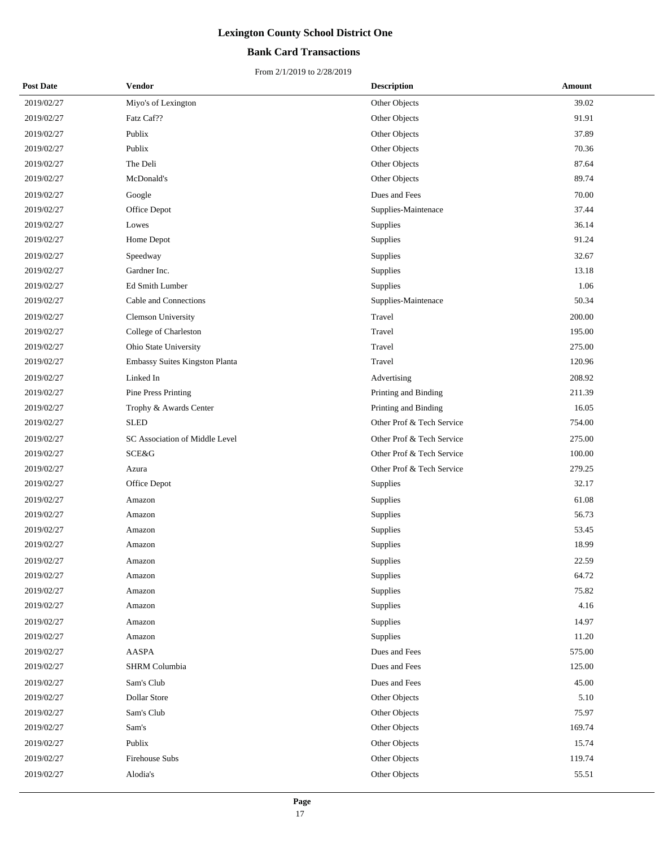## **Bank Card Transactions**

| <b>Post Date</b> | Vendor                         | <b>Description</b>        | <b>Amount</b> |
|------------------|--------------------------------|---------------------------|---------------|
| 2019/02/27       | Miyo's of Lexington            | Other Objects             | 39.02         |
| 2019/02/27       | Fatz Caf??                     | Other Objects             | 91.91         |
| 2019/02/27       | Publix                         | Other Objects             | 37.89         |
| 2019/02/27       | Publix                         | Other Objects             | 70.36         |
| 2019/02/27       | The Deli                       | Other Objects             | 87.64         |
| 2019/02/27       | McDonald's                     | Other Objects             | 89.74         |
| 2019/02/27       | Google                         | Dues and Fees             | 70.00         |
| 2019/02/27       | Office Depot                   | Supplies-Maintenace       | 37.44         |
| 2019/02/27       | Lowes                          | Supplies                  | 36.14         |
| 2019/02/27       | Home Depot                     | Supplies                  | 91.24         |
| 2019/02/27       | Speedway                       | Supplies                  | 32.67         |
| 2019/02/27       | Gardner Inc.                   | Supplies                  | 13.18         |
| 2019/02/27       | Ed Smith Lumber                | Supplies                  | 1.06          |
| 2019/02/27       | Cable and Connections          | Supplies-Maintenace       | 50.34         |
| 2019/02/27       | <b>Clemson University</b>      | Travel                    | 200.00        |
| 2019/02/27       | College of Charleston          | Travel                    | 195.00        |
| 2019/02/27       | Ohio State University          | Travel                    | 275.00        |
| 2019/02/27       | Embassy Suites Kingston Planta | Travel                    | 120.96        |
| 2019/02/27       | Linked In                      | Advertising               | 208.92        |
| 2019/02/27       | Pine Press Printing            | Printing and Binding      | 211.39        |
| 2019/02/27       | Trophy & Awards Center         | Printing and Binding      | 16.05         |
| 2019/02/27       | <b>SLED</b>                    | Other Prof & Tech Service | 754.00        |
| 2019/02/27       | SC Association of Middle Level | Other Prof & Tech Service | 275.00        |
| 2019/02/27       | SCE&G                          | Other Prof & Tech Service | 100.00        |
| 2019/02/27       | Azura                          | Other Prof & Tech Service | 279.25        |
| 2019/02/27       | Office Depot                   | Supplies                  | 32.17         |
| 2019/02/27       | Amazon                         | Supplies                  | 61.08         |
| 2019/02/27       | Amazon                         | Supplies                  | 56.73         |
| 2019/02/27       | Amazon                         | Supplies                  | 53.45         |
| 2019/02/27       | Amazon                         | Supplies                  | 18.99         |
| 2019/02/27       | Amazon                         | Supplies                  | 22.59         |
| 2019/02/27       | Amazon                         | Supplies                  | 64.72         |
| 2019/02/27       | Amazon                         | Supplies                  | 75.82         |
| 2019/02/27       | Amazon                         | Supplies                  | 4.16          |
| 2019/02/27       | Amazon                         | Supplies                  | 14.97         |
| 2019/02/27       | Amazon                         | Supplies                  | 11.20         |
| 2019/02/27       | AASPA                          | Dues and Fees             | 575.00        |
| 2019/02/27       | <b>SHRM</b> Columbia           | Dues and Fees             | 125.00        |
| 2019/02/27       | Sam's Club                     | Dues and Fees             | 45.00         |
| 2019/02/27       | Dollar Store                   | Other Objects             | 5.10          |
| 2019/02/27       | Sam's Club                     | Other Objects             | 75.97         |
| 2019/02/27       | Sam's                          | Other Objects             | 169.74        |
| 2019/02/27       | Publix                         | Other Objects             | 15.74         |
| 2019/02/27       | Firehouse Subs                 | Other Objects             | 119.74        |
| 2019/02/27       | Alodia's                       | Other Objects             | 55.51         |
|                  |                                |                           |               |